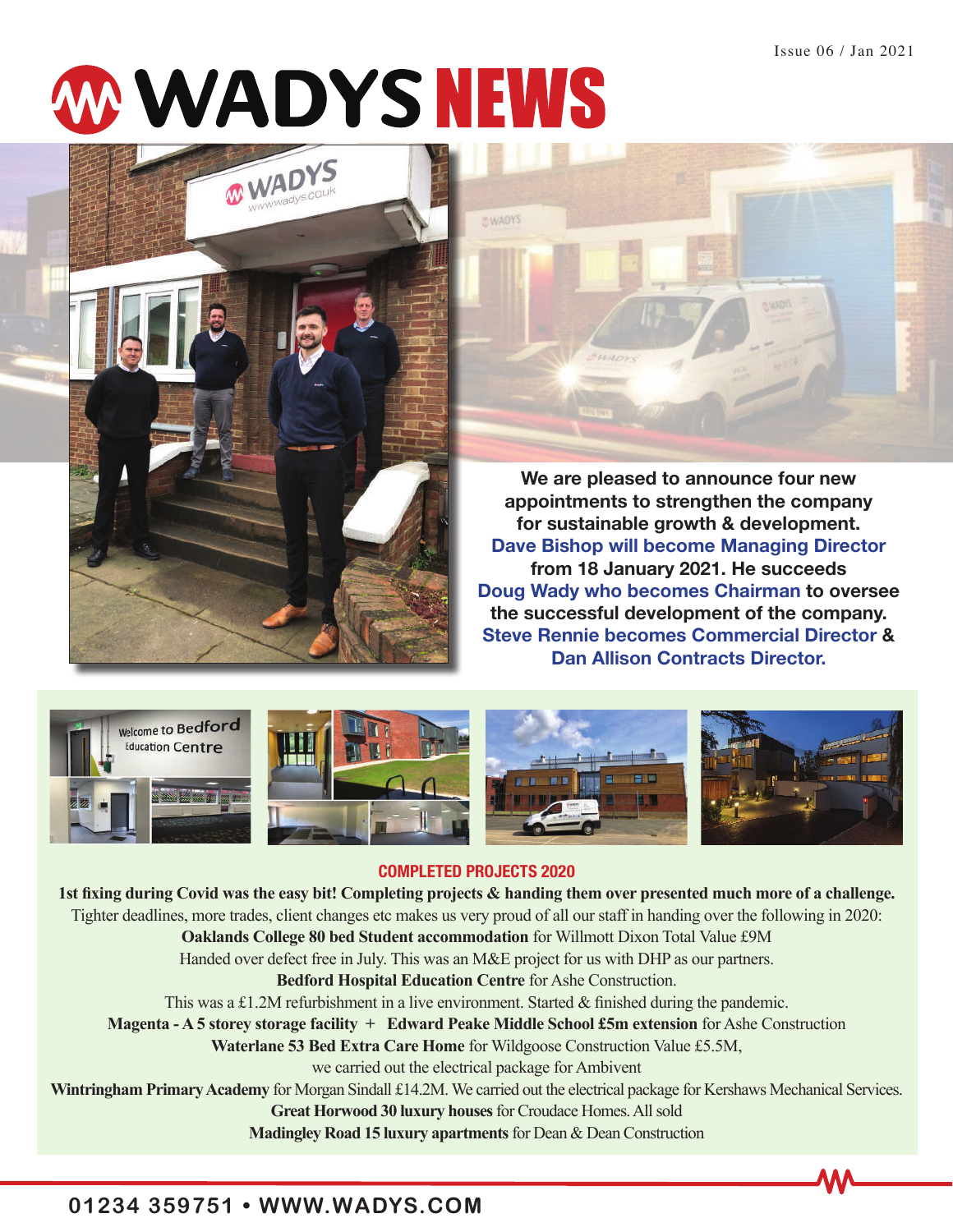# **MWADYS NEWS**





**We are pleased to announce four new appointments to strengthen the company for sustainable growth & development. Dave Bishop will become Managing Director from 18 January 2021. He succeeds Doug Wady who becomes Chairman to oversee the successful development of the company. Steve Rennie becomes Commercial Director & Dan Allison Contracts Director.**



# **COMPLETED PROJECTS 2020**

**1st fixing during Covid was the easy bit! Completing projects & handing them over presented much more of a challenge.**  Tighter deadlines, more trades, client changes etc makes us very proud of all our staff in handing over the following in 2020: **Oaklands College 80 bed Student accommodation** for Willmott Dixon Total Value £9M Handed over defect free in July. This was an M&E project for us with DHP as our partners. **Bedford Hospital Education Centre** for Ashe Construction. This was a £1.2M refurbishment in a live environment. Started & finished during the pandemic. **Magenta - A 5 storey storage facility + Edward Peake Middle School £5m extension** for Ashe Construction **Waterlane 53 Bed Extra Care Home** for Wildgoose Construction Value £5.5M, we carried out the electrical package for Ambivent **Wintringham Primary Academy** for Morgan Sindall £14.2M. We carried out the electrical package for Kershaws Mechanical Services. **Great Horwood 30 luxury houses** for Croudace Homes. All sold **Madingley Road 15 luxury apartments** for Dean & Dean Construction

# **01234 359751 • WWW.WADYS.COM**